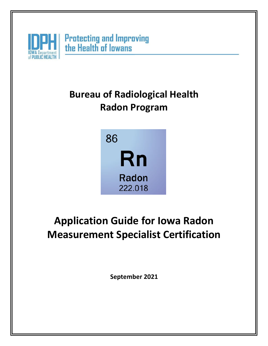

## **Bureau of Radiological Health Radon Program**



# **Application Guide for Iowa Radon Measurement Specialist Certification**

**September 2021**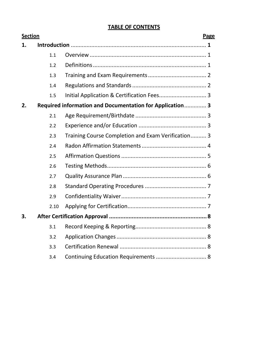### **TABLE OF CONTENTS**

| <b>Section</b> |      |                                                          | Page |
|----------------|------|----------------------------------------------------------|------|
| 1.             |      |                                                          |      |
|                | 1.1  |                                                          |      |
|                | 1.2  |                                                          |      |
|                | 1.3  |                                                          |      |
|                | 1.4  |                                                          |      |
|                | 1.5  |                                                          |      |
| 2.             |      | Required information and Documentation for Application 3 |      |
|                | 2.1  |                                                          |      |
|                | 2.2  |                                                          |      |
|                | 2.3  | Training Course Completion and Exam Verification 3       |      |
|                | 2.4  |                                                          |      |
|                | 2.5  |                                                          |      |
|                | 2.6  |                                                          |      |
|                | 2.7  |                                                          |      |
|                | 2.8  |                                                          |      |
|                | 2.9  |                                                          |      |
|                | 2.10 |                                                          |      |
| 3.             |      |                                                          |      |
|                | 3.1  |                                                          |      |
|                | 3.2  |                                                          |      |
|                | 3.3  |                                                          |      |
|                | 3.4  | Continuing Education Requirements  8                     |      |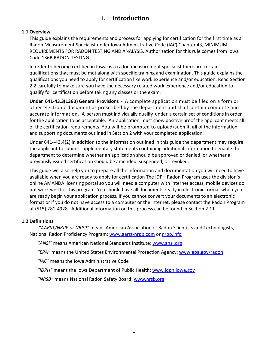## **1. Introduction**

#### <span id="page-2-0"></span>**1.1 Overview**

This guide explains the requirements and process for applying for certification for the first time as a Radon Measurement Specialist under Iowa Administrative Code (IAC) Chapter 43, MINIMUM REQUIREMENTS FOR RADON TESTING AND ANALYSIS. Authorization for this rule comes from Iowa Code 136B RADON TESTING.

In order to become certified in Iowa as a radon measurement specialist there are certain qualifications that must be met along with specific training and examination. This guide explains the qualifications you need to apply for certification like work experience and/or education. Read Section 2.2 carefully to make sure you have the necessary related work experience and/or education to qualify for certification before taking any classes or the exam.

**Under 641-43.3(136B) General Provisions** - A complete application must be filed on a form or other electronic document as prescribed by the department and shall contain complete and accurate information. A person must individually qualify under a certain set of conditions in order for the application to be acceptable. An application must show positive proof the applicant meets all of the certification requirements. You will be prompted to upload/submit, **all** of the information and supporting documents outlined in Section 2 with your completed application.

Under 641--43.4(2) in addition to the information outlined in this guide the department may require the applicant to submit supplementary statements containing additional information to enable the department to determine whether an application should be approved or denied, or whether a previously issued certification should be amended, suspended, or revoked.

This guide will also help you to prepare all the information and documentation you will need to have available when you are ready to apply for certification The IDPH Radon Program uses the division's online AMANDA licensing portal so you will need a computer with internet access, mobile devices do not work well for this program. You should have all documents ready in electronic format when you are ready begin your application process. If you cannot convert your documents to an electronic format or if you do not have access to a computer or the internet, please contact the Radon Program at (515) 281-4928. Additional information on this process can be found in Section 2.11.

#### **1.2 Definitions**

*"AARST/NRPP or NRPP"* means American Association of Radon Scientists and Technologists, National Radon Proficiency Program; [www.aarst-nrpp.com](http://www.aarst-nrpp.com/) or nrpp.info

*"ANSI"* means American National Standards Institute; [www.ansi.org](http://www.ansi.org/)

*"EPA"* means the United States Environmental Protection Agency; [www.epa.gov/radon](http://www.epa.gov/radon)

*"IAC"* means the Iowa Administrative Code

*"IDPH"* means the Iowa Department of Public Health; [www.idph.iowa.gov](http://www.idph.iowa.gov/)

*"NRSB"* means National Radon Safety Board; [www.nrsb.org](http://www.nrsb.org/)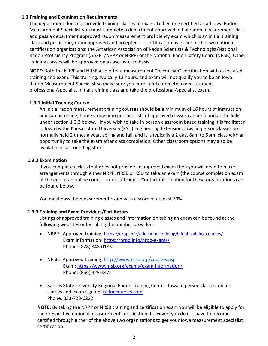#### **1.3 Training and Examination Requirements**

The department does not provide training classes or exam. To become certified as ad Iowa Radon Measurement Specialist you must complete a department approved initial radon measurement class and pass a department approved radon measurement proficiency exam which is an initial training class and proficiency exam approved and accepted for certification by either of the two national certification organizations; the American Association of Radon Scientists & Technologist/National Radon Proficiency Program (AASRT/NRPP or NRPP) or the National Radon Safety Board (NRSB). Other training classes will be approved on a case-by-case basis.

**NOTE**: Both the NRPP and NRSB also offer a measurement "technician" certification with associated training and exam. This training, typically 12 hours, and exam will not qualify you to be an Iowa Radon Measurement Specialist so make sure you enroll and complete a measurement professional/specialist initial training class and take the professional/specialist exam.

#### **1.3.1 Initial Training Course**

An initial radon measurement training courses should be a minimum of 16 hours of instruction and can be online, home study or in person. Lists of approved classes can be found at the links under section 1.3.3 below. If you wish to take in person classroom based training it is facilitated in Iowa by the Kansas State University (KSU) Engineering Extension. Iowa in person classes are normally held 2 times a year, spring and fall, and it is typically a 2 day, 8am to 5pm, class with an opportunity to take the exam after class completion. Other classroom options may also be available in surrounding states.

#### **1.3.2 Examination**

If you complete a class that does not provide an approved exam then you will need to make arrangements through either NRPP, NRSB or KSU to take an exam (the course completion exam at the end of an online course is not sufficient). Contact information for these organizations can be found below.

You must pass the measurement exam with a score of at least 70%.

#### **1.3.3 Training and Exam Providers/Facilitators**

Listings of approved training classes and information on taking an exam can be found at the following websites or by calling the number provided:

- NRPP: Approved training:<https://nrpp.info/education-training/initial-training-courses/> Exam information:<https://nrpp.info/nrpp-exams/> Phone: (828) 348-0185
- NRSB: Approved training:<http://www.nrsb.org/courses.asp> Exam:<https://www.nrsb.org/exams/exam-information/> Phone: (866) 329-3474
- Kansas State University Regional Radon Training Center: Iowa in person classes, online classes and exam sign up: [radoncourses.com](https://radoncourses.com/online) Phone: 833-723-6222.

**NOTE:** By taking the NRPP or NRSB training and certification exam you will be eligible to apply for their respective national measurement certification, however, you do not have to become certified through either of the above two organizations to get your Iowa measurement specialist certification.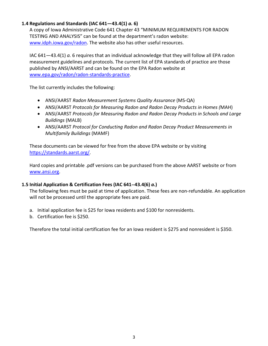#### **1.4 Regulations and Standards (IAC 641—43.4(1)** *a.* **6)**

A copy of Iowa Administrative Code 641 Chapter 43 "MINIMUM REQUIREMENTS FOR RADON TESTING AND ANALYSIS" can be found at the department's radon website: [www.idph.iowa.gov/radon.](http://www.idph.iowa.gov/radon) The website also has other useful resources.

IAC 641—43.4(1) *a.* 6 requires that an individual acknowledge that they will follow all EPA radon measurement guidelines and protocols. The current list of EPA standards of practice are those published by ANSI/AARST and can be found on the EPA Radon website at [www.epa.gov/radon/radon-standards-practice.](http://www.epa.gov/radon/radon-standards-practice)

The list currently includes the following:

- ANSI/AARST *Radon Measurement Systems Quality Assurance* (MS-QA)
- ANSI/AARST *Protocols for Measuring Radon and Radon Decay Products in Homes (*MAH)
- ANSI/AARST *Protocols for Measuring Radon and Radon Decay Products in Schools and Large Buildings* (MALB)
- ANSI/AARST *Protocol for Conducting Radon and Radon Decay Product Measurements in Multifamily Buildings* (MAMF)

These documents can be viewed for free from the above EPA website or by visiting [https://standards.aarst.org/.](https://standards.aarst.org/)

Hard copies and printable .pdf versions can be purchased from the above AARST website or from [www.ansi.org.](http://www.ansi.org/)

#### **1.5 Initial Application & Certification Fees (IAC 641--43.4(6)** *a.***)**

The following fees must be paid at time of application. These fees are non-refundable. An application will not be processed until the appropriate fees are paid.

- a. Initial application fee is \$25 for Iowa residents and \$100 for nonresidents.
- b. Certification fee is \$250.

Therefore the total initial certification fee for an Iowa resident is \$275 and nonresident is \$350.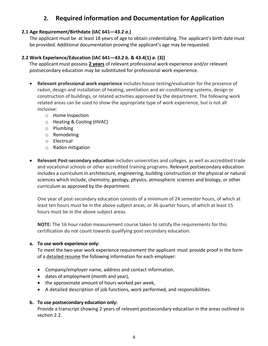## **2. Required information and Documentation for Application**

#### **2.1 Age Requirement/Birthdate (IAC 641—43.2** *a***.)**

The applicant must be at least 18 years of age to obtain credentialing. The applicant's birth date must be provided. Additional documentation proving the applicant's age may be requested.

#### **2.2 Work Experience/Education (IAC 641—43.2** *b***. & 43.4(1)** *a***. (3))**

The applicant must possess **2 years** of relevant professional work experience and/or relevant postsecondary education may be substituted for professional work experience.

- **Relevant professional work experience** includes house testing/evaluation for the presence of radon, design and installation of heating, ventilation and air-conditioning systems, design or construction of buildings, or related activities approved by the department. The following work related areas can be used to show the appropriate type of work experience, but is not all inclusive:
	- o Home Inspection
	- o Heating & Cooling (HVAC)
	- o Plumbing
	- o Remodeling
	- o Electrical
	- o Radon mitigation
- **Relevant Post-secondary education** includes universities and colleges, as well as accredited trade and vocational schools or other accredited training programs. Relevant postsecondary education includes a curriculum in architecture, engineering, building construction or the physical or natural sciences which include, chemistry, geology, physics, atmospheric sciences and biology, or other curriculum as approved by the department.

One year of post-secondary education consists of a minimum of 24 semester hours, of which at least ten hours must be in the above subject areas, or 36 quarter hours, of which at least 15 hours must be in the above subject areas.

**NOTE:** The 16 hour radon measurement course taken to satisfy the requirements for this certification do not count towards qualifying post-secondary education.

#### **a. To use work experience only:**

To meet the two-year work experience requirement the applicant must provide proof in the form of a detailed resume the following information for each employer:

- Company/employer name, address and contact information.
- dates of employment (month and year),
- the approximate amount of hours worked per week,
- A detailed description of job functions, work performed, and responsibilities.

#### **b. To use postsecondary education only:**

Provide a transcript showing 2 years of relevant postsecondary education in the areas outlined in section 2.2.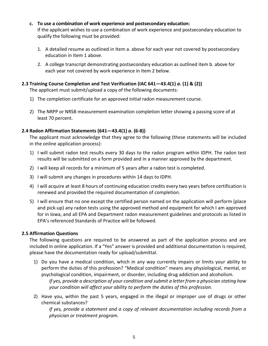#### **c. To use a combination of work experience and postsecondary education:**

If the applicant wishes to use a combination of work experience and postsecondary education to qualify the following must be provided:

- 1. A detailed resume as outlined in Item a. above for each year not covered by postsecondary education in Item 1 above.
- 2. A college transcript demonstrating postsecondary education as outlined item b. above for each year not covered by work experience in Item 2 below.

#### **2.3 Training Course Completion and Test Verification (IAC 641—43.4(1)** *a.* **(1) & (2))**

The applicant must submit/upload a copy of the following documents:

- 1) The completion certificate for an approved initial radon measurement course.
- 2) The NRPP or NRSB measurement examination completion letter showing a passing score of at least 70 percent.

#### **2.4 Radon Affirmation Statements (641—43.4(1)** *a***. (6-8))**

The applicant must acknowledge that they agree to the following (these statements will be included in the online application process):

- 1) I will submit radon test results every 30 days to the radon program within IDPH. The radon test results will be submitted on a form provided and in a manner approved by the department.
- 2) I will keep all records for a minimum of 5 years after a radon test is completed.
- 3) I will submit any changes in procedures within 14 days to IDPH.
- 4) I will acquire at least 8 hours of continuing education credits every two years before certification is renewed and provided the required documentation of completion.
- 5) I will ensure that no one except the certified person named on the application will perform (place and pick-up) any radon tests using the approved method and equipment for which I am approved for in Iowa, and all EPA and Department radon measurement guidelines and protocols as listed in EPA's referenced Standards of Practice will be followed.

#### **2.5 Affirmation Questions**

The following questions are required to be answered as part of the application process and are included in online application. If a "Yes" answer is provided and additional documentation is required, please have the documentation ready for upload/submittal.

1) Do you have a medical condition, which in any way currently impairs or limits your ability to perform the duties of this profession? "Medical condition" means any physiological, mental, or psychological condition, impairment, or disorder, including drug addiction and alcoholism.

*If yes, provide a description of your condition and submit a letter from a physician stating how your condition will affect your ability to perform the duties of this profession.*

2) Have you, within the past 5 years, engaged in the illegal or improper use of drugs or other chemical substances?

*If yes, provide a statement and a copy of relevant documentation including records from a physician or treatment program.*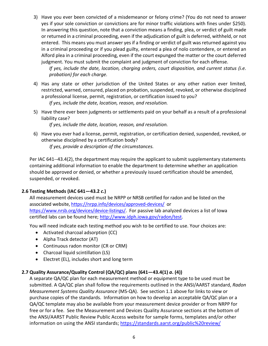3) Have you ever been convicted of a misdemeanor or felony crime? (You do not need to answer yes if your sole conviction or convictions are for minor traffic violations with fines under \$250). In answering this question, note that a conviction means a finding, plea, or verdict of guilt made or returned in a criminal proceeding, even if the adjudication of guilt is deferred, withheld, or not entered. This means you must answer yes if a finding or verdict of guilt was returned against you in a criminal proceeding or if you plead guilty, entered a plea of nolo contendere, or entered an Alford plea in a criminal proceeding, even if the court expunged the matter or the court deferred judgment. You must submit the complaint and judgment of conviction for each offense.

*If yes, include the date, location, charging orders, court disposition, and current status (i.e. probation) for each charge.*

- 4) Has any state or other jurisdiction of the United States or any other nation ever limited, restricted, warned, censured, placed on probation, suspended, revoked, or otherwise disciplined a professional license, permit, registration, or certification issued to you? *If yes, include the date, location, reason, and resolution.*
- 5) Have there ever been judgments or settlements paid on your behalf as a result of a professional liability case?

*If yes, include the date, location, reason, and resolution.*

6) Have you ever had a license, permit, registration, or certification denied, suspended, revoked, or otherwise disciplined by a certification body? *If yes, provide a description of the circumstances.*

Per IAC 641--43.4(2), the department may require the applicant to submit supplementary statements containing additional information to enable the department to determine whether an application should be approved or denied, or whether a previously issued certification should be amended, suspended, or revoked.

#### **2.6 Testing Methods (IAC 641—43.2** *c***.)**

All measurement devices used must be NRPP or NRSB certified for radon and be listed on the associated website[, https://nrpp.info/devices/approved-devices/](https://nrpp.info/devices/approved-devices/) or [https://www.nrsb.org/devices/device-listings/.](https://www.nrsb.org/devices/device-listings/) For passive lab analyzed devices a list of Iowa certified labs can be found here; [http://www.idph.iowa.gov/radon/test.](http://www.idph.iowa.gov/radon/test)

You will need indicate each testing method you wish to be certified to use. Your choices are:

- Activated charcoal adsorption (CC)
- Alpha Track detector (AT)
- Continuous radon monitor (CR or CRM)
- Charcoal liquid scintillation (LS)
- Electret (EL), includes short and long term

#### **2.7 Quality Assurance/Quality Control (QA/QC) plans (641—43.4(1)** *a***. (4))**

A separate QA/QC plan for each measurement method or equipment type to be used must be submitted. A QA/QC plan shall follow the requirements outlined in the ANSI/AARST standard, *Radon Measurement Systems Quality Assurance* (MS-QA). See section 1.1 above for links to view or purchase copies of the standards. Information on how to develop an acceptable QA/QC plan or a QA/QC template may also be available from your measurement device provider or from NRPP for free or for a fee. See the Measurement and Devices Quality Assurance sections at the bottom of the ANSI/AARST Public Review Public Access website for sample forms, templates and/or other information on using the ANSI standards;<https://standards.aarst.org/public%20review/>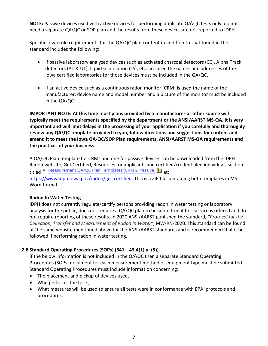**NOTE:** Passive devices used with active devices for performing duplicate QA\QC tests only, do not need a separate QA\QC or SOP plan and the results from these devices are not reported to IDPH.

Specific Iowa rule requirements for the QA\QC plan content in addition to that found in the standard includes the following:

- If passive laboratory analyzed devices such as activated charcoal detectors (CC), Alpha Track detectors (AT & UT), liquid scintillation (LS), etc. are used the names and addresses of the Iowa certified laboratories for those devices must be included in the QA\QC.
- If an active device such as a continuous radon monitor (CRM) is used the name of the manufacturer, device name and model number and a picture of the monitor must be included in the QA\QC.

**IMPORTANT NOTE: At this time most plans provided by a manufacturer or other source will typically meet the requirements specified by the department or the ANSI/AARST MS-QA. It is very important and will limit delays in the processing of your application if you carefully and thoroughly review any QA\QC template provided to you, follow directions and suggestions for content and amend it to meet the Iowa QA-QC/SOP Plan requirements, ANSI/AARST MS-QA requirements and the practices of your business.**

A QA/QC Plan template for CRMs and one for passive devices can be downloaded from the IDPH Radon website, Get Certified, Resources for applicants and certified/credentialed individuals section titled • Measurement QA/QC Plan Templates (CRM & Passive) at: [https://www.idph.iowa.gov/radon/get-certified.](https://www.idph.iowa.gov/radon/get-certified) This is a ZIP file containing both templates in MS Word format.

#### **Radon In Water Testing**

IDPH does not currently regulate/certify persons providing radon in water testing or laboratory analysis for the public, does not require a QA\QC plan to be submitted if this service is offered and do not require reporting of these results. In 2020 ANSI/AARST published the standard, *"Protocol for the Collection, Transfer and Measurement of Radon in Water"*, MW-RN-2020. This standard can be found at the same website mentioned above for the ANSI/AARST standards and is recommended that it be followed if performing radon in water testing.

#### **2.8 Standard Operating Procedures (SOPs) (641—43.4(1)** *a***. (5))**

If the below information is not included in the QA\QC then a separate Standard Operating Procedures (SOPs) document for each measurement method or equipment type must be submitted. Standard Operating Procedures must include information concerning:

- The placement and pickup of devices used,
- Who performs the tests,
- What measures will be used to ensure all tests were in conformance with EPA protocols and procedures.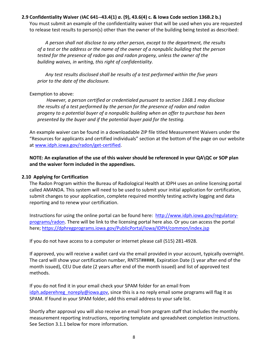#### **2.9 Confidentiality Waiver (IAC 641--43.4(1)** *a***. (9), 43.6(4) c. & Iowa Code section 136B.2 b.)**

You must submit an example of the confidentiality waiver that will be used when you are requested to release test results to person(s) other than the owner of the building being tested as described:

*A person shall not disclose to any other person, except to the department, the results of a test or the address or the name of the owner of a nonpublic building that the person tested for the presence of radon gas and radon progeny, unless the owner of the building waives, in writing, this right of confidentiality.*

*Any test results disclosed shall be results of a test performed within the five years prior to the date of the disclosure.*

#### Exemption to above:

*However, a person certified or credentialed pursuant to section 136B.1 may disclose the results of a test performed by the person for the presence of radon and radon progeny to a potential buyer of a nonpublic building when an offer to purchase has been presented by the buyer and if the potential buyer paid for the testing.*

An example waiver can be found in a downloadable ZIP file titled Measurement Waivers under the "Resources for applicants and certified individuals" section at the bottom of the page on our website at [www.idph.iowa.gov/radon/get-certified.](http://www.idph.iowa.gov/radon/get-certified)

**NOTE: An explanation of the use of this waiver should be referenced in your QA\QC or SOP plan and the waiver form included in the appendixes.**

#### **2.10 Applying for Certification**

The Radon Program within the Bureau of Radiological Health at IDPH uses an online licensing portal called AMANDA. This system will need to be used to submit your initial application for certification, submit changes to your application, complete required monthly testing activity logging and data reporting and to renew your certification.

Instructions for using the online portal can be found here: [http://www.idph.iowa.gov/regulatory](http://www.idph.iowa.gov/regulatory-programs/radon)[programs/radon.](http://www.idph.iowa.gov/regulatory-programs/radon) There will be link to the licensing portal here also. Or you can access the portal here;<https://dphregprograms.iowa.gov/PublicPortal/Iowa/IDPH/common/index.jsp>

If you do not have access to a computer or internet please call (515) 281-4928.

If approved, you will receive a wallet card via the email provided in your account, typically overnight. The card will show your certification number, RNTST#####, Expiration Date (1 year after end of the month issued), CEU Due date (2 years after end of the month issued) and list of approved test methods.

If you do not find it in your email check your SPAM folder for an email from [idph.adperehreg\\_noreply@iowa.gov,](mailto:idph.adperehreg_noreply@iowa.gov) since this is a no reply email some programs will flag it as SPAM. If found in your SPAM folder, add this email address to your safe list.

Shortly after approval you will also receive an email from program staff that includes the monthly measurement reporting instructions, reporting template and spreadsheet completion instructions. See Section 3.1.1 below for more information.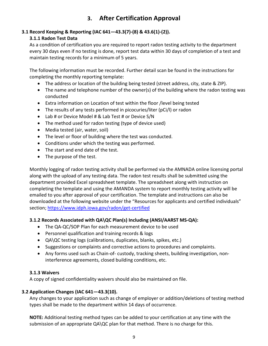## **3. After Certification Approval**

## **3.1 Record Keeping & Reporting (IAC 641—43.3(7)-(8) & 43.6(1)-(2)).**

#### **3.1.1 Radon Test Data**

As a condition of certification you are required to report radon testing activity to the department every 30 days even if no testing is done, report test data within 30 days of completion of a test and maintain testing records for a minimum of 5 years.

The following information must be recorded. Further detail scan be found in the instructions for completing the monthly reporting template:

- The address or location of the building being tested (street address, city, state & ZIP).
- The name and telephone number of the owner(s) of the building where the radon testing was conducted
- Extra information on Location of test within the floor /level being tested
- The results of any tests performed in picocuries/liter (pCi/l) or radon
- Lab # or Device Model # & Lab Test # or Device S/N
- The method used for radon testing (type of device used)
- Media tested (air, water, soil)
- The level or floor of building where the test was conducted.
- Conditions under which the testing was performed.
- The start and end date of the test.
- The purpose of the test.

Monthly logging of radon testing activity shall be performed via the AMNADA online licensing portal along with the upload of any testing data. The radon test results shall be submitted using the department provided Excel spreadsheet template. The spreadsheet along with instruction on completing the template and using the AMANDA system to report monthly testing activity will be emailed to you after approval of your certification. The template and instructions can also be downloaded at the following website under the "Resources for applicants and certified individuals" section; <https://www.idph.iowa.gov/radon/get-certified>

#### **3.1.2 Records Associated with QA\QC Plan(s) Including (ANSI/AARST MS-QA):**

- The QA-QC/SOP Plan for each measurement device to be used
- Personnel qualification and training records & logs
- QA\QC testing logs (calibrations, duplicates, blanks, spikes, etc.)
- Suggestions or complaints and corrective actions to procedures and complaints.
- Any forms used such as Chain-of- custody, tracking sheets, building investigation, noninterference agreements, closed building conditions, etc.

#### **3.1.3 Waivers**

A copy of signed confidentiality waivers should also be maintained on file.

#### **3.2 Application Changes (IAC 641—43.3(10).**

Any changes to your application such as change of employer or addition/deletions of testing method types shall be made to the department within 14 days of occurrence.

**NOTE:** Additional testing method types can be added to your certification at any time with the submission of an appropriate QA\QC plan for that method. There is no charge for this.